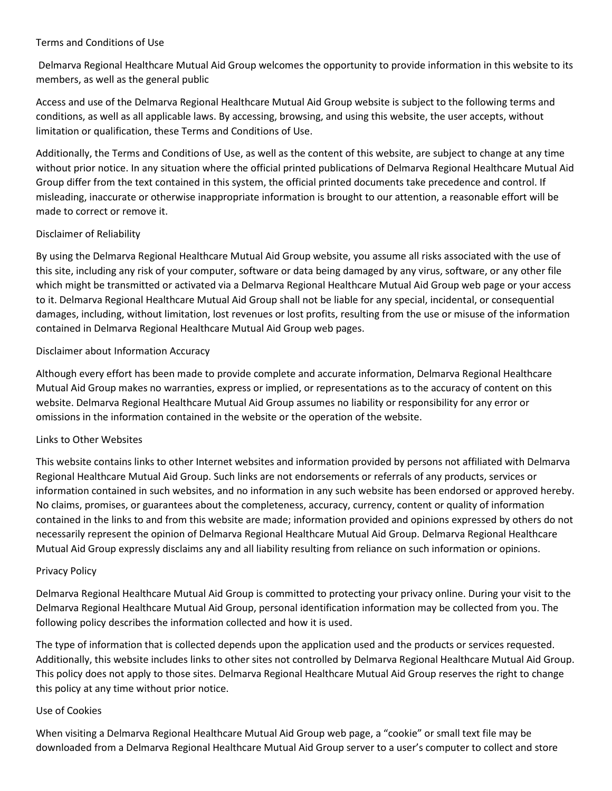#### Terms and Conditions of Use

Delmarva Regional Healthcare Mutual Aid Group welcomes the opportunity to provide information in this website to its members, as well as the general public

Access and use of the Delmarva Regional Healthcare Mutual Aid Group website is subject to the following terms and conditions, as well as all applicable laws. By accessing, browsing, and using this website, the user accepts, without limitation or qualification, these Terms and Conditions of Use.

Additionally, the Terms and Conditions of Use, as well as the content of this website, are subject to change at any time without prior notice. In any situation where the official printed publications of Delmarva Regional Healthcare Mutual Aid Group differ from the text contained in this system, the official printed documents take precedence and control. If misleading, inaccurate or otherwise inappropriate information is brought to our attention, a reasonable effort will be made to correct or remove it.

# Disclaimer of Reliability

By using the Delmarva Regional Healthcare Mutual Aid Group website, you assume all risks associated with the use of this site, including any risk of your computer, software or data being damaged by any virus, software, or any other file which might be transmitted or activated via a Delmarva Regional Healthcare Mutual Aid Group web page or your access to it. Delmarva Regional Healthcare Mutual Aid Group shall not be liable for any special, incidental, or consequential damages, including, without limitation, lost revenues or lost profits, resulting from the use or misuse of the information contained in Delmarva Regional Healthcare Mutual Aid Group web pages.

# Disclaimer about Information Accuracy

Although every effort has been made to provide complete and accurate information, Delmarva Regional Healthcare Mutual Aid Group makes no warranties, express or implied, or representations as to the accuracy of content on this website. Delmarva Regional Healthcare Mutual Aid Group assumes no liability or responsibility for any error or omissions in the information contained in the website or the operation of the website.

# Links to Other Websites

This website contains links to other Internet websites and information provided by persons not affiliated with Delmarva Regional Healthcare Mutual Aid Group. Such links are not endorsements or referrals of any products, services or information contained in such websites, and no information in any such website has been endorsed or approved hereby. No claims, promises, or guarantees about the completeness, accuracy, currency, content or quality of information contained in the links to and from this website are made; information provided and opinions expressed by others do not necessarily represent the opinion of Delmarva Regional Healthcare Mutual Aid Group. Delmarva Regional Healthcare Mutual Aid Group expressly disclaims any and all liability resulting from reliance on such information or opinions.

# Privacy Policy

Delmarva Regional Healthcare Mutual Aid Group is committed to protecting your privacy online. During your visit to the Delmarva Regional Healthcare Mutual Aid Group, personal identification information may be collected from you. The following policy describes the information collected and how it is used.

The type of information that is collected depends upon the application used and the products or services requested. Additionally, this website includes links to other sites not controlled by Delmarva Regional Healthcare Mutual Aid Group. This policy does not apply to those sites. Delmarva Regional Healthcare Mutual Aid Group reserves the right to change this policy at any time without prior notice.

#### Use of Cookies

When visiting a Delmarva Regional Healthcare Mutual Aid Group web page, a "cookie" or small text file may be downloaded from a Delmarva Regional Healthcare Mutual Aid Group server to a user's computer to collect and store